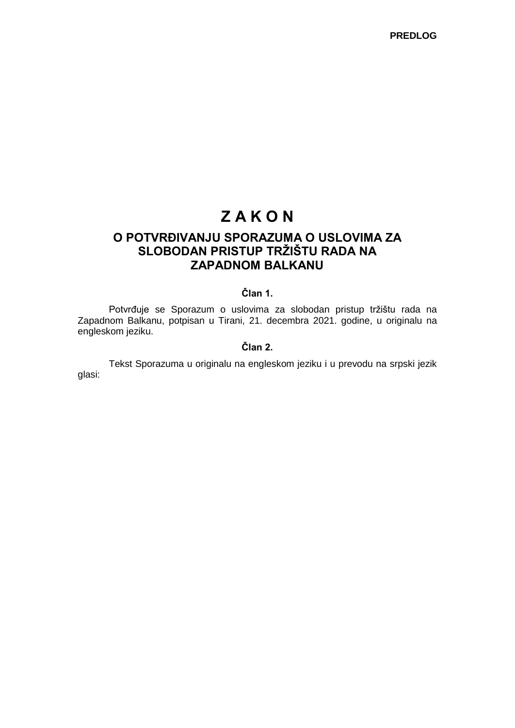# **Z A K O N**

## **O POTVRĐIVANJU SPORAZUMA O USLOVIMA ZA SLOBODAN PRISTUP TRŽIŠTU RADA NA ZAPADNOM BALKANU**

## **Član 1.**

Potvrđuje se Sporazum o uslovima za slobodan pristup tržištu rada na Zapadnom Balkanu, potpisan u Tirani, 21. decembra 2021. godine, u originalu na engleskom jeziku.

## **Član 2.**

Tekst Sporazuma u originalu na engleskom jeziku i u prevodu na srpski jezik glasi: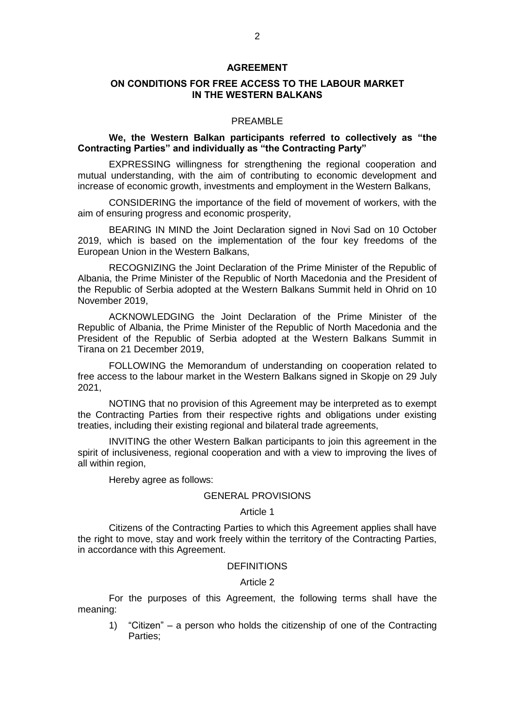#### **AGREEMENT**

## **ON CONDITIONS FOR FREE ACCESS TO THE LABOUR MARKET IN THE WESTERN BALKANS**

#### PREAMBLE

#### **We, the Western Balkan participants referred to collectively as "the Contracting Parties" and individually as "the Contracting Party"**

EXPRESSING willingness for strengthening the regional cooperation and mutual understanding, with the aim of contributing to economic development and increase of economic growth, investments and employment in the Western Balkans,

CONSIDERING the importance of the field of movement of workers, with the aim of ensuring progress and economic prosperity,

BEARING IN MIND the Joint Declaration signed in Novi Sad on 10 October 2019, which is based on the implementation of the four key freedoms of the European Union in the Western Balkans,

RECOGNIZING the Joint Declaration of the Prime Minister of the Republic of Albania, the Prime Minister of the Republic of North Macedonia and the President of the Republic of Serbia adopted at the Western Balkans Summit held in Ohrid on 10 November 2019,

ACKNOWLEDGING the Joint Declaration of the Prime Minister of the Republic of Albania, the Prime Minister of the Republic of North Macedonia and the President of the Republic of Serbia adopted at the Western Balkans Summit in Tirana on 21 December 2019,

FOLLOWING the Memorandum of understanding on cooperation related to free access to the labour market in the Western Balkans signed in Skopje on 29 July 2021,

NOTING that no provision of this Agreement may be interpreted as to exempt the Contracting Parties from their respective rights and obligations under existing treaties, including their existing regional and bilateral trade agreements,

INVITING the other Western Balkan participants to join this agreement in the spirit of inclusiveness, regional cooperation and with a view to improving the lives of all within region,

Hereby agree as follows:

#### GENERAL PROVISIONS

#### Article 1

Citizens of the Contracting Parties to which this Agreement applies shall have the right to move, stay and work freely within the territory of the Contracting Parties, in accordance with this Agreement.

#### **DEFINITIONS**

#### Article 2

For the purposes of this Agreement, the following terms shall have the meaning:

1) "Citizen" – a person who holds the citizenship of one of the Contracting Parties;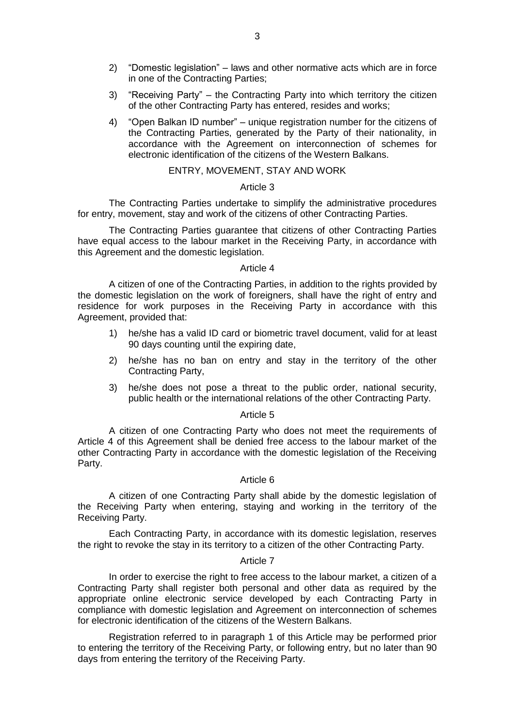- 2) "Domestic legislation" laws and other normative acts which are in force in one of the Contracting Parties;
- 3) "Receiving Party" the Contracting Party into which territory the citizen of the other Contracting Party has entered, resides and works;
- 4) "Open Balkan ID number" unique registration number for the citizens of the Contracting Parties, generated by the Party of their nationality, in accordance with the Agreement on interconnection of schemes for electronic identification of the citizens of the Western Balkans.

## ENTRY, MOVEMENT, STAY AND WORK

#### Article 3

The Contracting Parties undertake to simplify the administrative procedures for entry, movement, stay and work of the citizens of other Contracting Parties.

The Contracting Parties guarantee that citizens of other Contracting Parties have equal access to the labour market in the Receiving Party, in accordance with this Agreement and the domestic legislation.

#### Article 4

A citizen of one of the Contracting Parties, in addition to the rights provided by the domestic legislation on the work of foreigners, shall have the right of entry and residence for work purposes in the Receiving Party in accordance with this Agreement, provided that:

- 1) he/she has a valid ID card or biometric travel document, valid for at least 90 days counting until the expiring date,
- 2) he/she has no ban on entry and stay in the territory of the other Contracting Party,
- 3) he/she does not pose a threat to the public order, national security, public health or the international relations of the other Contracting Party.

#### Article 5

A citizen of one Contracting Party who does not meet the requirements of Article 4 of this Agreement shall be denied free access to the labour market of the other Contracting Party in accordance with the domestic legislation of the Receiving Party.

#### Article 6

A citizen of one Contracting Party shall abide by the domestic legislation of the Receiving Party when entering, staying and working in the territory of the Receiving Party.

Each Contracting Party, in accordance with its domestic legislation, reserves the right to revoke the stay in its territory to a citizen of the other Contracting Party.

#### Article 7

In order to exercise the right to free access to the labour market, a citizen of a Contracting Party shall register both personal and other data as required by the appropriate online electronic service developed by each Contracting Party in compliance with domestic legislation and Agreement on interconnection of schemes for electronic identification of the citizens of the Western Balkans.

Registration referred to in paragraph 1 of this Article may be performed prior to entering the territory of the Receiving Party, or following entry, but no later than 90 days from entering the territory of the Receiving Party.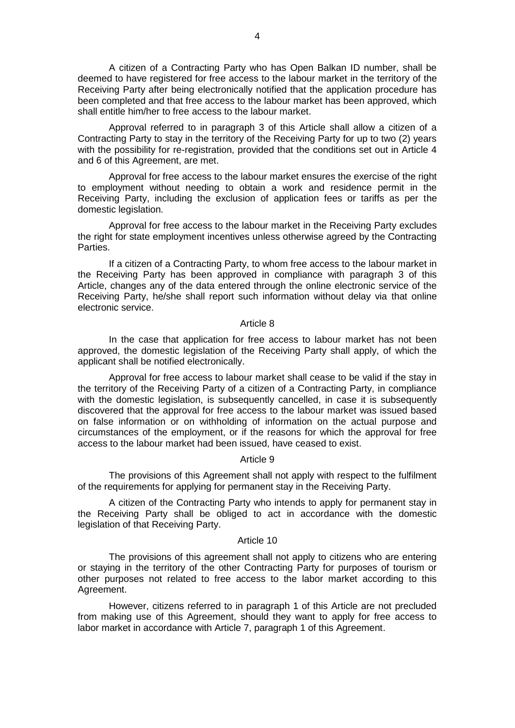A citizen of a Contracting Party who has Open Balkan ID number, shall be deemed to have registered for free access to the labour market in the territory of the Receiving Party after being electronically notified that the application procedure has been completed and that free access to the labour market has been approved, which shall entitle him/her to free access to the labour market.

Approval referred to in paragraph 3 of this Article shall allow a citizen of a Contracting Party to stay in the territory of the Receiving Party for up to two (2) years with the possibility for re-registration, provided that the conditions set out in Article 4 and 6 of this Agreement, are met.

Approval for free access to the labour market ensures the exercise of the right to employment without needing to obtain a work and residence permit in the Receiving Party, including the exclusion of application fees or tariffs as per the domestic legislation.

Approval for free access to the labour market in the Receiving Party excludes the right for state employment incentives unless otherwise agreed by the Contracting Parties.

If a citizen of a Contracting Party, to whom free access to the labour market in the Receiving Party has been approved in compliance with paragraph 3 of this Article, changes any of the data entered through the online electronic service of the Receiving Party, he/she shall report such information without delay via that online electronic service.

#### Article 8

In the case that application for free access to labour market has not been approved, the domestic legislation of the Receiving Party shall apply, of which the applicant shall be notified electronically.

Approval for free access to labour market shall cease to be valid if the stay in the territory of the Receiving Party of a citizen of a Contracting Party, in compliance with the domestic legislation, is subsequently cancelled, in case it is subsequently discovered that the approval for free access to the labour market was issued based on false information or on withholding of information on the actual purpose and circumstances of the employment, or if the reasons for which the approval for free access to the labour market had been issued, have ceased to exist.

#### Article 9

The provisions of this Agreement shall not apply with respect to the fulfilment of the requirements for applying for permanent stay in the Receiving Party.

A citizen of the Contracting Party who intends to apply for permanent stay in the Receiving Party shall be obliged to act in accordance with the domestic legislation of that Receiving Party.

#### Article 10

The provisions of this agreement shall not apply to citizens who are entering or staying in the territory of the other Contracting Party for purposes of tourism or other purposes not related to free access to the labor market according to this Agreement.

However, citizens referred to in paragraph 1 of this Article are not precluded from making use of this Agreement, should they want to apply for free access to labor market in accordance with Article 7, paragraph 1 of this Agreement.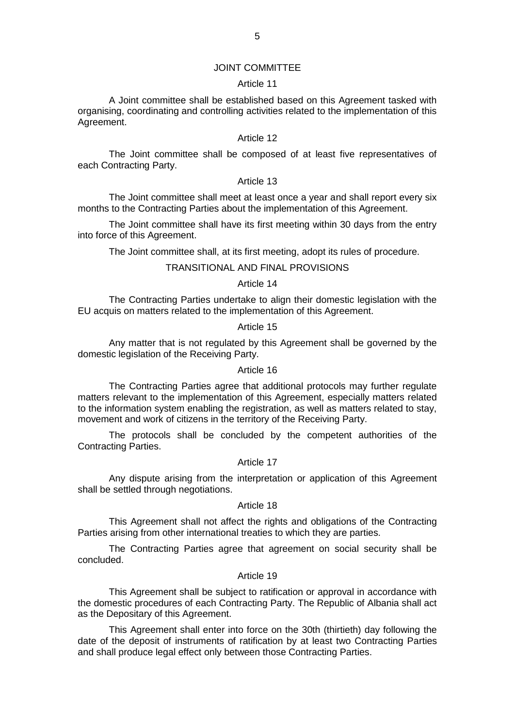#### JOINT COMMITTEE

#### Article 11

A Joint committee shall be established based on this Agreement tasked with organising, coordinating and controlling activities related to the implementation of this Agreement.

## Article 12

The Joint committee shall be composed of at least five representatives of each Contracting Party.

#### Article 13

The Joint committee shall meet at least once a year and shall report every six months to the Contracting Parties about the implementation of this Agreement.

The Joint committee shall have its first meeting within 30 days from the entry into force of this Agreement.

The Joint committee shall, at its first meeting, adopt its rules of procedure.

### TRANSITIONAL AND FINAL PROVISIONS

#### Article 14

The Contracting Parties undertake to align their domestic legislation with the EU acquis on matters related to the implementation of this Agreement.

#### Article 15

Any matter that is not regulated by this Agreement shall be governed by the domestic legislation of the Receiving Party.

#### Article 16

The Contracting Parties agree that additional protocols may further regulate matters relevant to the implementation of this Agreement, especially matters related to the information system enabling the registration, as well as matters related to stay, movement and work of citizens in the territory of the Receiving Party.

The protocols shall be concluded by the competent authorities of the Contracting Parties.

## Article 17

Any dispute arising from the interpretation or application of this Agreement shall be settled through negotiations.

## Article 18

This Agreement shall not affect the rights and obligations of the Contracting Parties arising from other international treaties to which they are parties.

The Contracting Parties agree that agreement on social security shall be concluded.

#### Article 19

This Agreement shall be subject to ratification or approval in accordance with the domestic procedures of each Contracting Party. The Republic of Albania shall act as the Depositary of this Agreement.

This Agreement shall enter into force on the 30th (thirtieth) day following the date of the deposit of instruments of ratification by at least two Contracting Parties and shall produce legal effect only between those Contracting Parties.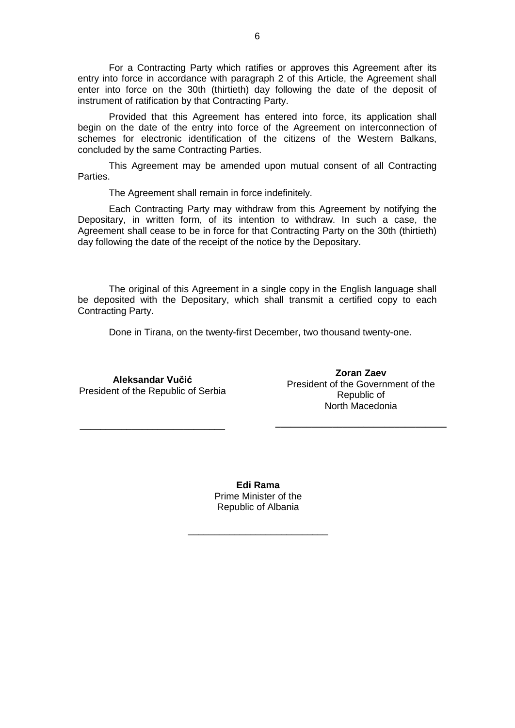For a Contracting Party which ratifies or approves this Agreement after its entry into force in accordance with paragraph 2 of this Article, the Agreement shall enter into force on the 30th (thirtieth) day following the date of the deposit of instrument of ratification by that Contracting Party.

Provided that this Agreement has entered into force, its application shall begin on the date of the entry into force of the Agreement on interconnection of schemes for electronic identification of the citizens of the Western Balkans, concluded by the same Contracting Parties.

This Agreement may be amended upon mutual consent of all Contracting Parties.

The Agreement shall remain in force indefinitely.

Each Contracting Party may withdraw from this Agreement by notifying the Depositary, in written form, of its intention to withdraw. In such a case, the Agreement shall cease to be in force for that Contracting Party on the 30th (thirtieth) day following the date of the receipt of the notice by the Depositary.

The original of this Agreement in a single copy in the English language shall be deposited with the Depositary, which shall transmit a certified copy to each Contracting Party.

Done in Tirana, on the twenty-first December, two thousand twenty-one.

**Aleksandar Vučić** President of the Republic of Serbia

**\_\_\_\_\_\_\_\_\_\_\_\_\_\_\_\_\_\_\_\_\_\_\_\_\_\_\_\_**

**Zoran Zaev** President of the Government of the Republic of North Macedonia

**\_\_\_\_\_\_\_\_\_\_\_\_\_\_\_\_\_\_\_\_\_\_\_\_\_\_\_\_\_\_\_\_\_**

**Edi Rama** Prime Minister of the Republic of Albania

**\_\_\_\_\_\_\_\_\_\_\_\_\_\_\_\_\_\_\_\_\_\_\_\_\_\_\_**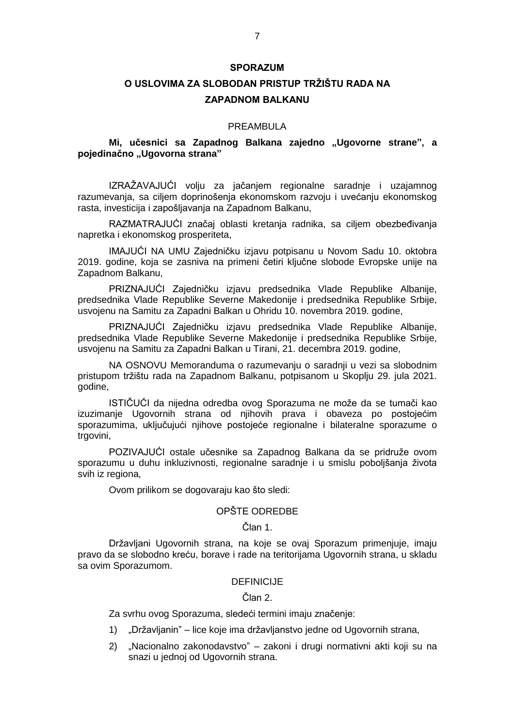### **SPORAZUM**

## **O USLOVIMA ZA SLOBODAN PRISTUP TRŽIŠTU RADA NA ZAPADNOM BALKANU**

#### PREAMBULA

## **Mi, učesnici sa Zapadnog Balkana zajedno "Ugovorne strane", a pojedinačno "Ugovorna strana"**

IZRAŽAVAJUĆI volju za jačanjem regionalne saradnje i uzajamnog razumevanja, sa ciljem doprinošenja ekonomskom razvoju i uvećanju ekonomskog rasta, investicija i zapošljavanja na Zapadnom Balkanu,

RAZMATRAJUĆI značaj oblasti kretanja radnika, sa ciljem obezbeđivanja napretka i ekonomskog prosperiteta,

IMAJUĆI NA UMU Zajedničku izjavu potpisanu u Novom Sadu 10. oktobra 2019. godine, koja se zasniva na primeni četiri ključne slobode Evropske unije na Zapadnom Balkanu,

PRIZNAJUĆI Zajedničku izjavu predsednika Vlade Republike Albanije, predsednika Vlade Republike Severne Makedonije i predsednika Republike Srbije, usvojenu na Samitu za Zapadni Balkan u Ohridu 10. novembra 2019. godine,

PRIZNAJUĆI Zajedničku izjavu predsednika Vlade Republike Albanije, predsednika Vlade Republike Severne Makedonije i predsednika Republike Srbije, usvojenu na Samitu za Zapadni Balkan u Tirani, 21. decembra 2019. godine,

NA OSNOVU Memoranduma o razumevanju o saradnji u vezi sa slobodnim pristupom tržištu rada na Zapadnom Balkanu, potpisanom u Skoplju 29. jula 2021. godine,

ISTIČUĆI da nijedna odredba ovog Sporazuma ne može da se tumači kao izuzimanje Ugovornih strana od njihovih prava i obaveza po postojećim sporazumima, uključujući njihove postojeće regionalne i bilateralne sporazume o trgovini,

POZIVAJUĆI ostale učesnike sa Zapadnog Balkana da se pridruže ovom sporazumu u duhu inkluzivnosti, regionalne saradnje i u smislu poboljšanja života svih iz regiona,

Ovom prilikom se dogovaraju kao što sledi:

#### OPŠTE ODREDBE

## Član 1.

Državljani Ugovornih strana, na koje se ovaj Sporazum primenjuje, imaju pravo da se slobodno kreću, borave i rade na teritorijama Ugovornih strana, u skladu sa ovim Sporazumom.

## DEFINICIJE

#### Član 2.

Za svrhu ovog Sporazuma, sledeći termini imaju značenje:

- 1) "Državljanin" lice koje ima državljanstvo jedne od Ugovornih strana,
- 2) "Nacionalno zakonodavstvo" zakoni i drugi normativni akti koji su na snazi u jednoj od Ugovornih strana.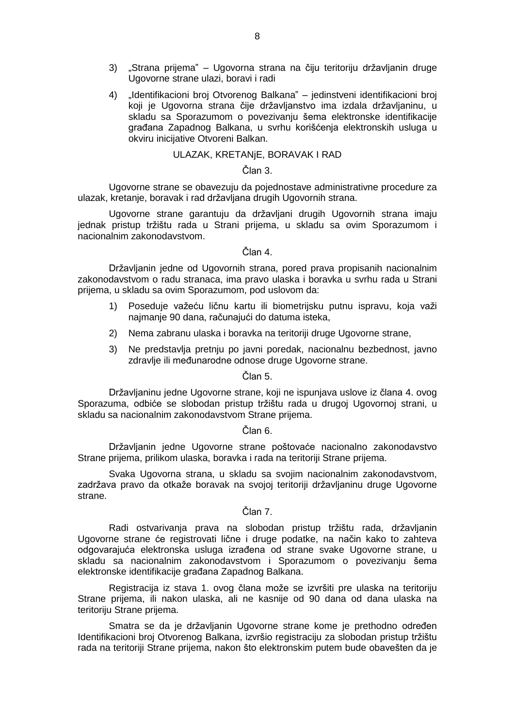- 3) "Strana prijema" Ugovorna strana na čiju teritoriju državljanin druge Ugovorne strane ulazi, boravi i radi
- 4) "Identifikacioni broj Otvorenog Balkana" jedinstveni identifikacioni broj koji je Ugovorna strana čije državljanstvo ima izdala državljaninu, u skladu sa Sporazumom o povezivanju šema elektronske identifikacije građana Zapadnog Balkana, u svrhu korišćenja elektronskih usluga u okviru inicijative Otvoreni Balkan.

## ULAZAK, KRETANjE, BORAVAK I RAD

#### Član 3.

Ugovorne strane se obavezuju da pojednostave administrativne procedure za ulazak, kretanje, boravak i rad državljana drugih Ugovornih strana.

Ugovorne strane garantuju da državljani drugih Ugovornih strana imaju jednak pristup tržištu rada u Strani prijema, u skladu sa ovim Sporazumom i nacionalnim zakonodavstvom.

## Član 4.

Državljanin jedne od Ugovornih strana, pored prava propisanih nacionalnim zakonodavstvom o radu stranaca, ima pravo ulaska i boravka u svrhu rada u Strani prijema, u skladu sa ovim Sporazumom, pod uslovom da:

- 1) Poseduje važeću ličnu kartu ili biometrijsku putnu ispravu, koja važi najmanje 90 dana, računajući do datuma isteka,
- 2) Nema zabranu ulaska i boravka na teritoriji druge Ugovorne strane,
- 3) Ne predstavlja pretnju po javni poredak, nacionalnu bezbednost, javno zdravlje ili međunarodne odnose druge Ugovorne strane.

Član 5.

Državljaninu jedne Ugovorne strane, koji ne ispunjava uslove iz člana 4. ovog Sporazuma, odbiće se slobodan pristup tržištu rada u drugoj Ugovornoj strani, u skladu sa nacionalnim zakonodavstvom Strane prijema.

## Član 6.

Državljanin jedne Ugovorne strane poštovaće nacionalno zakonodavstvo Strane prijema, prilikom ulaska, boravka i rada na teritoriji Strane prijema.

Svaka Ugovorna strana, u skladu sa svojim nacionalnim zakonodavstvom, zadržava pravo da otkaže boravak na svojoj teritoriji državljaninu druge Ugovorne strane.

## Član 7.

Radi ostvarivanja prava na slobodan pristup tržištu rada, državljanin Ugovorne strane će registrovati lične i druge podatke, na način kako to zahteva odgovarajuća elektronska usluga izrađena od strane svake Ugovorne strane, u skladu sa nacionalnim zakonodavstvom i Sporazumom o povezivanju šema elektronske identifikacije građana Zapadnog Balkana.

Registracija iz stava 1. ovog člana može se izvršiti pre ulaska na teritoriju Strane prijema, ili nakon ulaska, ali ne kasnije od 90 dana od dana ulaska na teritoriju Strane prijema.

Smatra se da je državljanin Ugovorne strane kome je prethodno određen Identifikacioni broj Otvorenog Balkana, izvršio registraciju za slobodan pristup tržištu rada na teritoriji Strane prijema, nakon što elektronskim putem bude obavešten da je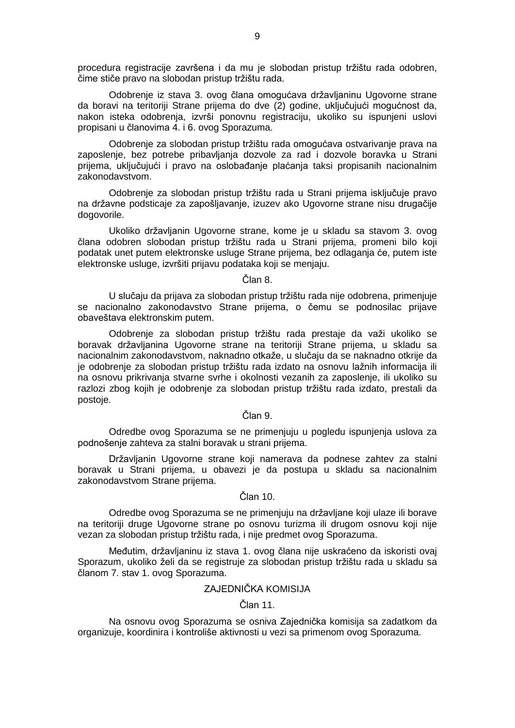procedura registracije završena i da mu je slobodan pristup tržištu rada odobren, čime stiče pravo na slobodan pristup tržištu rada.

Odobrenje iz stava 3. ovog člana omogućava državljaninu Ugovorne strane da boravi na teritoriji Strane prijema do dve (2) godine, uključujući mogućnost da, nakon isteka odobrenja, izvrši ponovnu registraciju, ukoliko su ispunjeni uslovi propisani u članovima 4. i 6. ovog Sporazuma.

Odobrenje za slobodan pristup tržištu rada omogućava ostvarivanje prava na zaposlenje, bez potrebe pribavljanja dozvole za rad i dozvole boravka u Strani prijema, uključujući i pravo na oslobađanje plaćanja taksi propisanih nacionalnim zakonodavstvom.

Odobrenje za slobodan pristup tržištu rada u Strani prijema isključuje pravo na državne podsticaje za zapošljavanje, izuzev ako Ugovorne strane nisu drugačije dogovorile.

Ukoliko državljanin Ugovorne strane, kome je u skladu sa stavom 3. ovog člana odobren slobodan pristup tržištu rada u Strani prijema, promeni bilo koji podatak unet putem elektronske usluge Strane prijema, bez odlaganja će, putem iste elektronske usluge, izvršiti prijavu podataka koji se menjaju.

#### Član 8.

U slučaju da prijava za slobodan pristup tržištu rada nije odobrena, primenjuje se nacionalno zakonodavstvo Strane prijema, o čemu se podnosilac prijave obaveštava elektronskim putem.

Odobrenje za slobodan pristup tržištu rada prestaje da važi ukoliko se boravak državljanina Ugovorne strane na teritoriji Strane prijema, u skladu sa nacionalnim zakonodavstvom, naknadno otkaže, u slučaju da se naknadno otkrije da je odobrenje za slobodan pristup tržištu rada izdato na osnovu lažnih informacija ili na osnovu prikrivanja stvarne svrhe i okolnosti vezanih za zaposlenje, ili ukoliko su razlozi zbog kojih je odobrenje za slobodan pristup tržištu rada izdato, prestali da postoje.

## Član 9.

Odredbe ovog Sporazuma se ne primenjuju u pogledu ispunjenja uslova za podnošenje zahteva za stalni boravak u strani prijema.

Državljanin Ugovorne strane koji namerava da podnese zahtev za stalni boravak u Strani prijema, u obavezi je da postupa u skladu sa nacionalnim zakonodavstvom Strane prijema.

## Član 10.

Odredbe ovog Sporazuma se ne primenjuju na državljane koji ulaze ili borave na teritoriji druge Ugovorne strane po osnovu turizma ili drugom osnovu koji nije vezan za slobodan pristup tržištu rada, i nije predmet ovog Sporazuma.

Međutim, državljaninu iz stava 1. ovog člana nije uskraćeno da iskoristi ovaj Sporazum, ukoliko želi da se registruje za slobodan pristup tržištu rada u skladu sa članom 7. stav 1. ovog Sporazuma.

#### ZAJEDNIČKA KOMISIJA

## Član 11.

Na osnovu ovog Sporazuma se osniva Zajednička komisija sa zadatkom da organizuje, koordinira i kontroliše aktivnosti u vezi sa primenom ovog Sporazuma.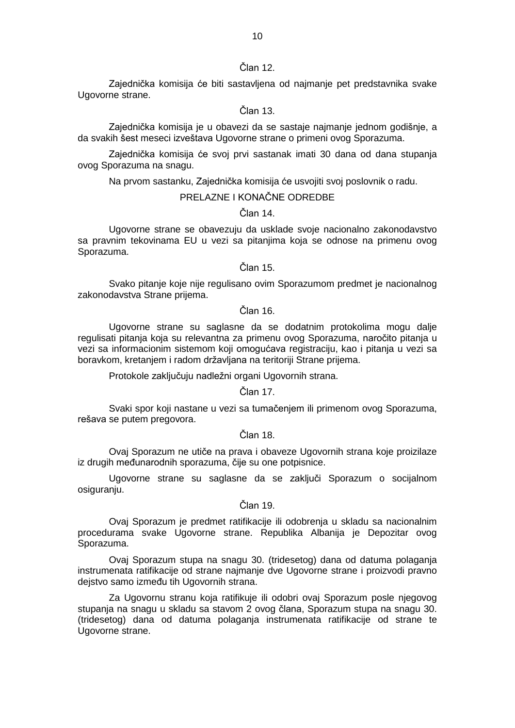Zajednička komisija će biti sastavljena od najmanje pet predstavnika svake Ugovorne strane.

Član 13.

Zajednička komisija je u obavezi da se sastaje najmanje jednom godišnje, a da svakih šest meseci izveštava Ugovorne strane o primeni ovog Sporazuma.

Zajednička komisija će svoj prvi sastanak imati 30 dana od dana stupanja ovog Sporazuma na snagu.

Na prvom sastanku, Zajednička komisija će usvojiti svoj poslovnik o radu.

## PRELAZNE I KONAČNE ODREDBE

Član 14.

Ugovorne strane se obavezuju da usklade svoje nacionalno zakonodavstvo sa pravnim tekovinama EU u vezi sa pitanjima koja se odnose na primenu ovog Sporazuma.

Član 15.

Svako pitanje koje nije regulisano ovim Sporazumom predmet je nacionalnog zakonodavstva Strane prijema.

Član 16.

Ugovorne strane su saglasne da se dodatnim protokolima mogu dalje regulisati pitanja koja su relevantna za primenu ovog Sporazuma, naročito pitanja u vezi sa informacionim sistemom koji omogućava registraciju, kao i pitanja u vezi sa boravkom, kretanjem i radom državljana na teritoriji Strane prijema.

Protokole zaključuju nadležni organi Ugovornih strana.

Član 17.

Svaki spor koji nastane u vezi sa tumačenjem ili primenom ovog Sporazuma, rešava se putem pregovora.

Član 18.

Ovaj Sporazum ne utiče na prava i obaveze Ugovornih strana koje proizilaze iz drugih međunarodnih sporazuma, čije su one potpisnice.

Ugovorne strane su saglasne da se zaključi Sporazum o socijalnom osiguranju.

Član 19.

Ovaj Sporazum je predmet ratifikacije ili odobrenja u skladu sa nacionalnim procedurama svake Ugovorne strane. Republika Albanija je Depozitar ovog Sporazuma.

Ovaj Sporazum stupa na snagu 30. (tridesetog) dana od datuma polaganja instrumenata ratifikacije od strane najmanje dve Ugovorne strane i proizvodi pravno dejstvo samo između tih Ugovornih strana.

Za Ugovornu stranu koja ratifikuje ili odobri ovaj Sporazum posle njegovog stupanja na snagu u skladu sa stavom 2 ovog člana, Sporazum stupa na snagu 30. (tridesetog) dana od datuma polaganja instrumenata ratifikacije od strane te Ugovorne strane.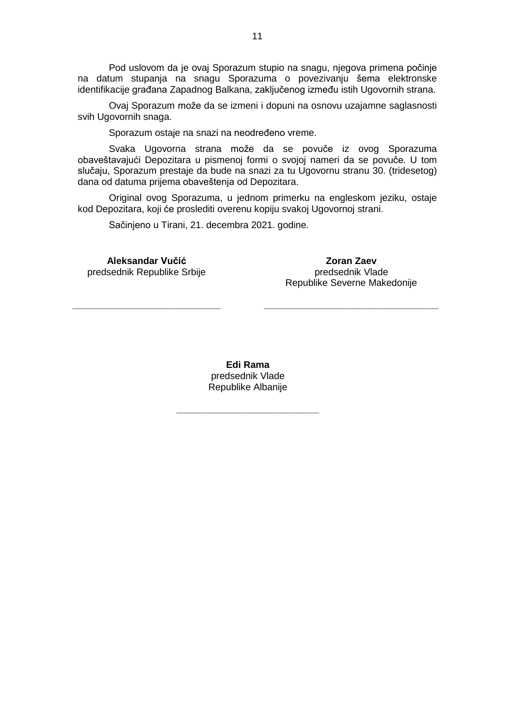Pod uslovom da je ovaj Sporazum stupio na snagu, njegova primena počinje na datum stupanja na snagu Sporazuma o povezivanju šema elektronske identifikacije građana Zapadnog Balkana, zaključenog između istih Ugovornih strana.

Ovaj Sporazum može da se izmeni i dopuni na osnovu uzajamne saglasnosti svih Ugovornih snaga.

Sporazum ostaje na snazi na neodređeno vreme.

Svaka Ugovorna strana može da se povuče iz ovog Sporazuma obaveštavajući Depozitara u pismenoj formi o svojoj nameri da se povuče. U tom slučaju, Sporazum prestaje da bude na snazi za tu Ugovornu stranu 30. (tridesetog) dana od datuma prijema obaveštenja od Depozitara.

Original ovog Sporazuma, u jednom primerku na engleskom jeziku, ostaje kod Depozitara, koji će proslediti overenu kopiju svakoj Ugovornoj strani.

Sačinjeno u Tirani, 21. decembra 2021. godine.

**Aleksandar Vučić** predsednik Republike Srbije

**\_\_\_\_\_\_\_\_\_\_\_\_\_\_\_\_\_\_\_\_\_\_\_\_\_\_\_\_**

**Zoran Zaev** predsednik Vlade Republike Severne Makedonije

**\_\_\_\_\_\_\_\_\_\_\_\_\_\_\_\_\_\_\_\_\_\_\_\_\_\_\_\_\_\_\_\_\_**

**Edi Rama**<br>predsednik Vlade Republike Albanije

**\_\_\_\_\_\_\_\_\_\_\_\_\_\_\_\_\_\_\_\_\_\_\_\_\_\_\_**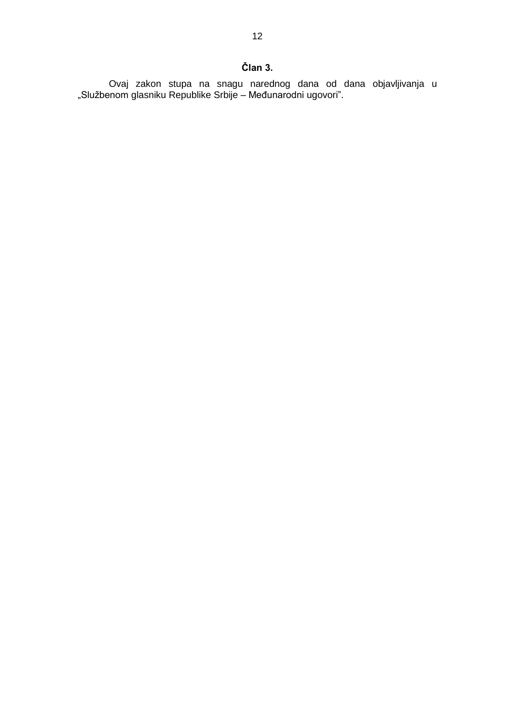Ovaj zakon stupa na snagu narednog dana od dana objavljivanja u "Službenom glasniku Republike Srbije – Međunarodni ugovori".